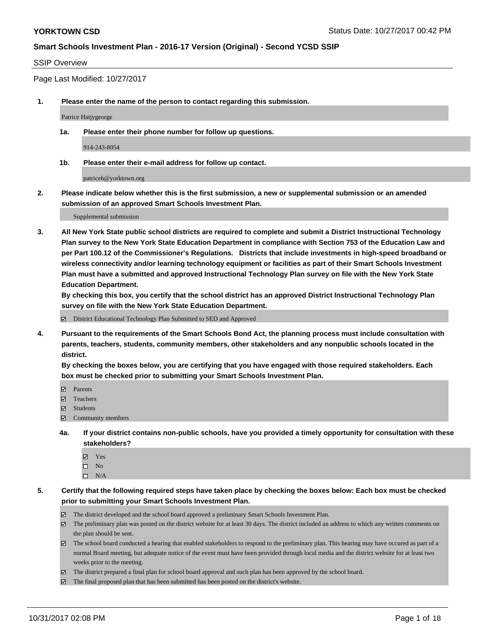### SSIP Overview

Page Last Modified: 10/27/2017

**1. Please enter the name of the person to contact regarding this submission.**

Patrice Hatjygeorge

**1a. Please enter their phone number for follow up questions.**

914-243-8054

**1b. Please enter their e-mail address for follow up contact.**

patriceh@yorktown.org

**2. Please indicate below whether this is the first submission, a new or supplemental submission or an amended submission of an approved Smart Schools Investment Plan.**

Supplemental submission

**3. All New York State public school districts are required to complete and submit a District Instructional Technology Plan survey to the New York State Education Department in compliance with Section 753 of the Education Law and per Part 100.12 of the Commissioner's Regulations. Districts that include investments in high-speed broadband or wireless connectivity and/or learning technology equipment or facilities as part of their Smart Schools Investment Plan must have a submitted and approved Instructional Technology Plan survey on file with the New York State Education Department.** 

**By checking this box, you certify that the school district has an approved District Instructional Technology Plan survey on file with the New York State Education Department.**

District Educational Technology Plan Submitted to SED and Approved

**4. Pursuant to the requirements of the Smart Schools Bond Act, the planning process must include consultation with parents, teachers, students, community members, other stakeholders and any nonpublic schools located in the district.** 

**By checking the boxes below, you are certifying that you have engaged with those required stakeholders. Each box must be checked prior to submitting your Smart Schools Investment Plan.**

- **Parents**
- Teachers
- Students
- $\Xi$  Community members
- **4a. If your district contains non-public schools, have you provided a timely opportunity for consultation with these stakeholders?**
	- **Ø** Yes
	- $\square$  No
	- $\square$  N/A

**5. Certify that the following required steps have taken place by checking the boxes below: Each box must be checked prior to submitting your Smart Schools Investment Plan.**

- The district developed and the school board approved a preliminary Smart Schools Investment Plan.
- The preliminary plan was posted on the district website for at least 30 days. The district included an address to which any written comments on the plan should be sent.
- The school board conducted a hearing that enabled stakeholders to respond to the preliminary plan. This hearing may have occured as part of a normal Board meeting, but adequate notice of the event must have been provided through local media and the district website for at least two weeks prior to the meeting.
- The district prepared a final plan for school board approval and such plan has been approved by the school board.
- $\boxtimes$  The final proposed plan that has been submitted has been posted on the district's website.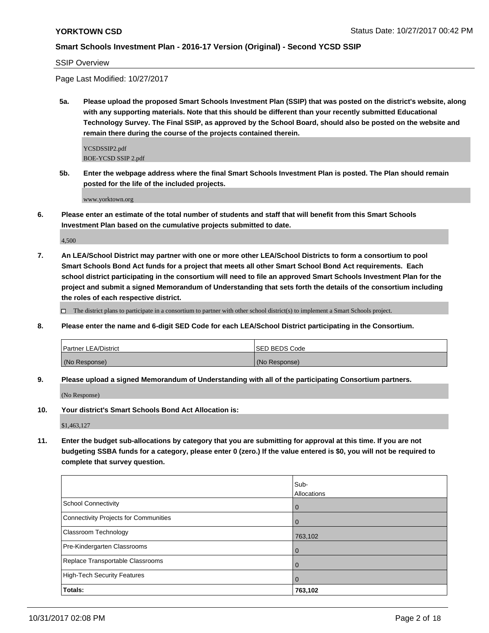SSIP Overview

Page Last Modified: 10/27/2017

**5a. Please upload the proposed Smart Schools Investment Plan (SSIP) that was posted on the district's website, along with any supporting materials. Note that this should be different than your recently submitted Educational Technology Survey. The Final SSIP, as approved by the School Board, should also be posted on the website and remain there during the course of the projects contained therein.**

YCSDSSIP2.pdf BOE-YCSD SSIP 2.pdf

**5b. Enter the webpage address where the final Smart Schools Investment Plan is posted. The Plan should remain posted for the life of the included projects.**

www.yorktown.org

**6. Please enter an estimate of the total number of students and staff that will benefit from this Smart Schools Investment Plan based on the cumulative projects submitted to date.**

4,500

**7. An LEA/School District may partner with one or more other LEA/School Districts to form a consortium to pool Smart Schools Bond Act funds for a project that meets all other Smart School Bond Act requirements. Each school district participating in the consortium will need to file an approved Smart Schools Investment Plan for the project and submit a signed Memorandum of Understanding that sets forth the details of the consortium including the roles of each respective district.**

 $\Box$  The district plans to participate in a consortium to partner with other school district(s) to implement a Smart Schools project.

**8. Please enter the name and 6-digit SED Code for each LEA/School District participating in the Consortium.**

| <b>Partner LEA/District</b> | <b>ISED BEDS Code</b> |
|-----------------------------|-----------------------|
| (No Response)               | (No Response)         |

**9. Please upload a signed Memorandum of Understanding with all of the participating Consortium partners.**

(No Response)

**10. Your district's Smart Schools Bond Act Allocation is:**

\$1,463,127

**11. Enter the budget sub-allocations by category that you are submitting for approval at this time. If you are not budgeting SSBA funds for a category, please enter 0 (zero.) If the value entered is \$0, you will not be required to complete that survey question.**

|                                       | Sub-        |
|---------------------------------------|-------------|
|                                       | Allocations |
| <b>School Connectivity</b>            | l 0         |
| Connectivity Projects for Communities | l 0         |
| <b>Classroom Technology</b>           | 763,102     |
| Pre-Kindergarten Classrooms           | l O         |
| Replace Transportable Classrooms      |             |
| High-Tech Security Features           | l 0         |
| Totals:                               | 763,102     |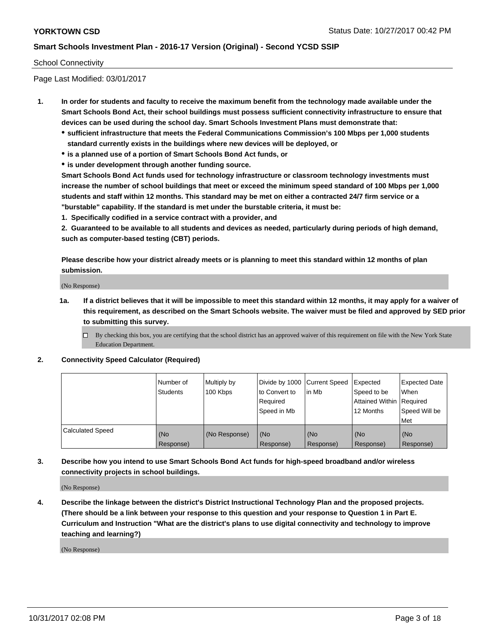### School Connectivity

Page Last Modified: 03/01/2017

- **1. In order for students and faculty to receive the maximum benefit from the technology made available under the Smart Schools Bond Act, their school buildings must possess sufficient connectivity infrastructure to ensure that devices can be used during the school day. Smart Schools Investment Plans must demonstrate that:**
	- **sufficient infrastructure that meets the Federal Communications Commission's 100 Mbps per 1,000 students standard currently exists in the buildings where new devices will be deployed, or**
	- **is a planned use of a portion of Smart Schools Bond Act funds, or**
	- **is under development through another funding source.**

**Smart Schools Bond Act funds used for technology infrastructure or classroom technology investments must increase the number of school buildings that meet or exceed the minimum speed standard of 100 Mbps per 1,000 students and staff within 12 months. This standard may be met on either a contracted 24/7 firm service or a "burstable" capability. If the standard is met under the burstable criteria, it must be:**

**1. Specifically codified in a service contract with a provider, and**

**2. Guaranteed to be available to all students and devices as needed, particularly during periods of high demand, such as computer-based testing (CBT) periods.**

**Please describe how your district already meets or is planning to meet this standard within 12 months of plan submission.**

(No Response)

**1a. If a district believes that it will be impossible to meet this standard within 12 months, it may apply for a waiver of this requirement, as described on the Smart Schools website. The waiver must be filed and approved by SED prior to submitting this survey.**

**2. Connectivity Speed Calculator (Required)**

|                         | l Number of<br>Students | Multiply by<br>100 Kbps | Divide by 1000 Current Speed<br>to Convert to<br>Required<br>Speed in Mb | lin Mb           | Expected<br>Speed to be<br>Attained Within Required<br>12 Months | <b>Expected Date</b><br>When<br>Speed Will be<br>Met |
|-------------------------|-------------------------|-------------------------|--------------------------------------------------------------------------|------------------|------------------------------------------------------------------|------------------------------------------------------|
| <b>Calculated Speed</b> | (No<br>Response)        | (No Response)           | (No<br>Response)                                                         | (No<br>Response) | (No<br>Response)                                                 | (No<br>Response)                                     |

**3. Describe how you intend to use Smart Schools Bond Act funds for high-speed broadband and/or wireless connectivity projects in school buildings.**

(No Response)

**4. Describe the linkage between the district's District Instructional Technology Plan and the proposed projects. (There should be a link between your response to this question and your response to Question 1 in Part E. Curriculum and Instruction "What are the district's plans to use digital connectivity and technology to improve teaching and learning?)**

(No Response)

 $\Box$  By checking this box, you are certifying that the school district has an approved waiver of this requirement on file with the New York State Education Department.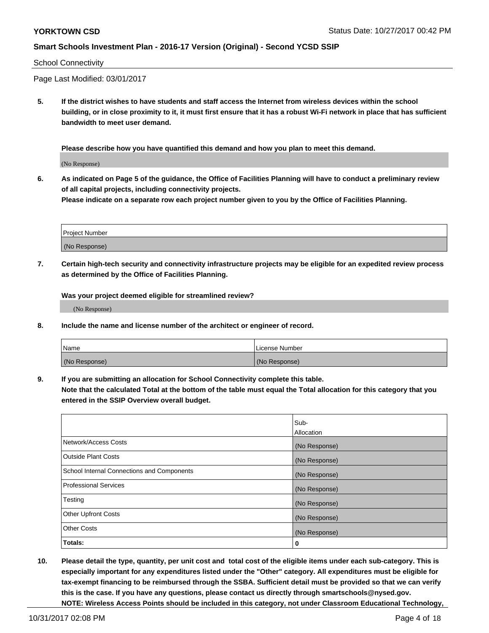### School Connectivity

Page Last Modified: 03/01/2017

**5. If the district wishes to have students and staff access the Internet from wireless devices within the school building, or in close proximity to it, it must first ensure that it has a robust Wi-Fi network in place that has sufficient bandwidth to meet user demand.**

**Please describe how you have quantified this demand and how you plan to meet this demand.**

(No Response)

**6. As indicated on Page 5 of the guidance, the Office of Facilities Planning will have to conduct a preliminary review of all capital projects, including connectivity projects.**

**Please indicate on a separate row each project number given to you by the Office of Facilities Planning.**

| Project Number |  |
|----------------|--|
|                |  |
| (No Response)  |  |

**7. Certain high-tech security and connectivity infrastructure projects may be eligible for an expedited review process as determined by the Office of Facilities Planning.**

**Was your project deemed eligible for streamlined review?**

(No Response)

**8. Include the name and license number of the architect or engineer of record.**

| Name          | License Number |
|---------------|----------------|
| (No Response) | (No Response)  |

**9. If you are submitting an allocation for School Connectivity complete this table.**

**Note that the calculated Total at the bottom of the table must equal the Total allocation for this category that you entered in the SSIP Overview overall budget.** 

|                                            | Sub-          |
|--------------------------------------------|---------------|
|                                            | Allocation    |
| Network/Access Costs                       | (No Response) |
| <b>Outside Plant Costs</b>                 | (No Response) |
| School Internal Connections and Components | (No Response) |
| <b>Professional Services</b>               | (No Response) |
| Testing                                    | (No Response) |
| <b>Other Upfront Costs</b>                 | (No Response) |
| <b>Other Costs</b>                         | (No Response) |
| Totals:                                    | 0             |

**10. Please detail the type, quantity, per unit cost and total cost of the eligible items under each sub-category. This is especially important for any expenditures listed under the "Other" category. All expenditures must be eligible for tax-exempt financing to be reimbursed through the SSBA. Sufficient detail must be provided so that we can verify this is the case. If you have any questions, please contact us directly through smartschools@nysed.gov. NOTE: Wireless Access Points should be included in this category, not under Classroom Educational Technology,**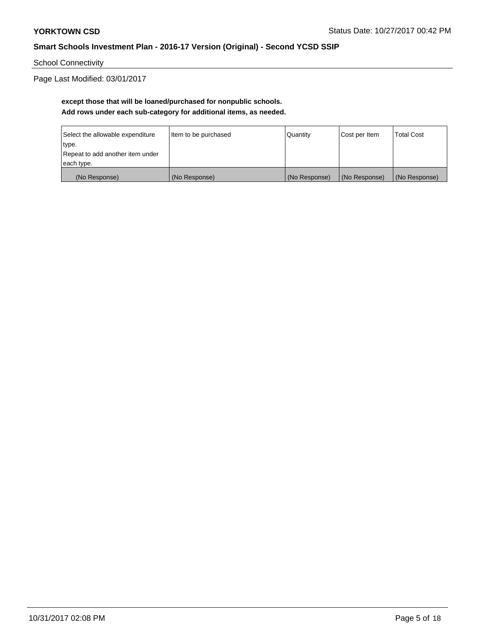School Connectivity

Page Last Modified: 03/01/2017

# **except those that will be loaned/purchased for nonpublic schools. Add rows under each sub-category for additional items, as needed.**

| Select the allowable expenditure | Item to be purchased | Quantity      | Cost per Item | <b>Total Cost</b> |
|----------------------------------|----------------------|---------------|---------------|-------------------|
| type.                            |                      |               |               |                   |
| Repeat to add another item under |                      |               |               |                   |
| each type.                       |                      |               |               |                   |
| (No Response)                    | (No Response)        | (No Response) | (No Response) | (No Response)     |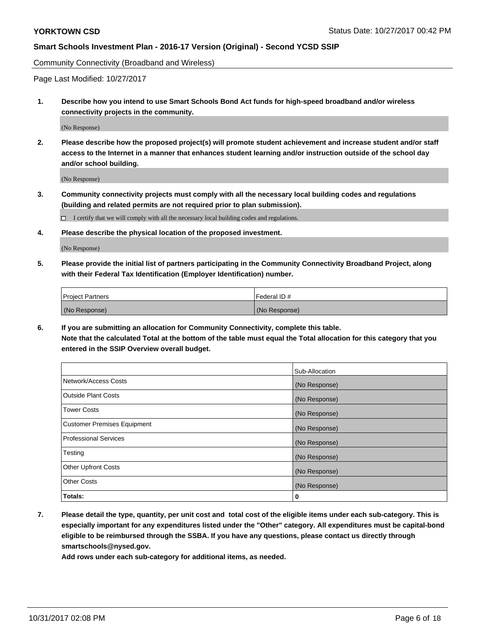Community Connectivity (Broadband and Wireless)

Page Last Modified: 10/27/2017

**1. Describe how you intend to use Smart Schools Bond Act funds for high-speed broadband and/or wireless connectivity projects in the community.**

(No Response)

**2. Please describe how the proposed project(s) will promote student achievement and increase student and/or staff access to the Internet in a manner that enhances student learning and/or instruction outside of the school day and/or school building.**

(No Response)

- **3. Community connectivity projects must comply with all the necessary local building codes and regulations (building and related permits are not required prior to plan submission).**
	- $\Box$  I certify that we will comply with all the necessary local building codes and regulations.
- **4. Please describe the physical location of the proposed investment.**

(No Response)

**5. Please provide the initial list of partners participating in the Community Connectivity Broadband Project, along with their Federal Tax Identification (Employer Identification) number.**

| <b>Project Partners</b> | l Federal ID # |
|-------------------------|----------------|
| (No Response)           | (No Response)  |

**6. If you are submitting an allocation for Community Connectivity, complete this table. Note that the calculated Total at the bottom of the table must equal the Total allocation for this category that you entered in the SSIP Overview overall budget.**

|                                    | Sub-Allocation |
|------------------------------------|----------------|
| Network/Access Costs               | (No Response)  |
| <b>Outside Plant Costs</b>         | (No Response)  |
| <b>Tower Costs</b>                 | (No Response)  |
| <b>Customer Premises Equipment</b> | (No Response)  |
| <b>Professional Services</b>       | (No Response)  |
| Testing                            | (No Response)  |
| <b>Other Upfront Costs</b>         | (No Response)  |
| <b>Other Costs</b>                 | (No Response)  |
| Totals:                            | 0              |

**7. Please detail the type, quantity, per unit cost and total cost of the eligible items under each sub-category. This is especially important for any expenditures listed under the "Other" category. All expenditures must be capital-bond eligible to be reimbursed through the SSBA. If you have any questions, please contact us directly through smartschools@nysed.gov.**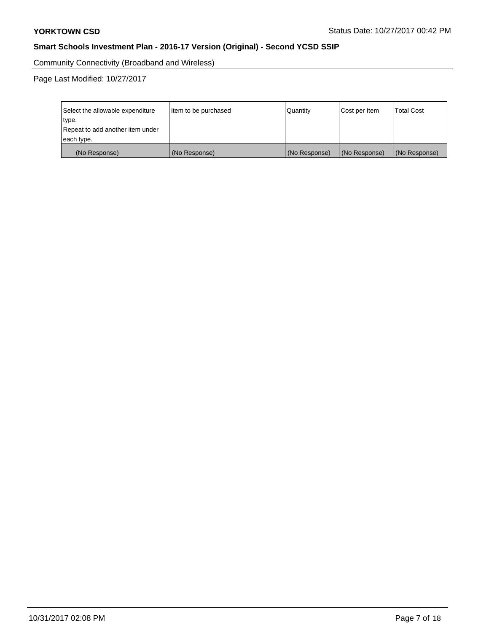Community Connectivity (Broadband and Wireless)

Page Last Modified: 10/27/2017

| Select the allowable expenditure<br>type.<br>Repeat to add another item under | Item to be purchased | Quantity      | Cost per Item | <b>Total Cost</b> |
|-------------------------------------------------------------------------------|----------------------|---------------|---------------|-------------------|
| each type.                                                                    |                      |               |               |                   |
| (No Response)                                                                 | (No Response)        | (No Response) | (No Response) | (No Response)     |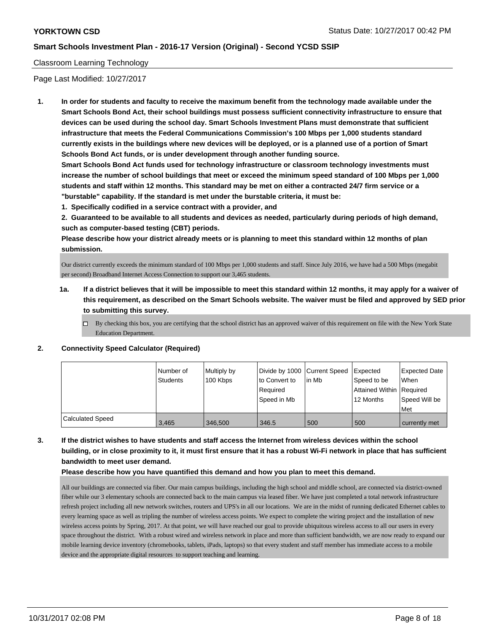### Classroom Learning Technology

Page Last Modified: 10/27/2017

**1. In order for students and faculty to receive the maximum benefit from the technology made available under the Smart Schools Bond Act, their school buildings must possess sufficient connectivity infrastructure to ensure that devices can be used during the school day. Smart Schools Investment Plans must demonstrate that sufficient infrastructure that meets the Federal Communications Commission's 100 Mbps per 1,000 students standard currently exists in the buildings where new devices will be deployed, or is a planned use of a portion of Smart Schools Bond Act funds, or is under development through another funding source.**

**Smart Schools Bond Act funds used for technology infrastructure or classroom technology investments must increase the number of school buildings that meet or exceed the minimum speed standard of 100 Mbps per 1,000 students and staff within 12 months. This standard may be met on either a contracted 24/7 firm service or a "burstable" capability. If the standard is met under the burstable criteria, it must be:**

**1. Specifically codified in a service contract with a provider, and**

**2. Guaranteed to be available to all students and devices as needed, particularly during periods of high demand, such as computer-based testing (CBT) periods.**

**Please describe how your district already meets or is planning to meet this standard within 12 months of plan submission.**

Our district currently exceeds the minimum standard of 100 Mbps per 1,000 students and staff. Since July 2016, we have had a 500 Mbps (megabit per second) Broadband Internet Access Connection to support our 3,465 students.

- **1a. If a district believes that it will be impossible to meet this standard within 12 months, it may apply for a waiver of this requirement, as described on the Smart Schools website. The waiver must be filed and approved by SED prior to submitting this survey.**
	- $\Box$  By checking this box, you are certifying that the school district has an approved waiver of this requirement on file with the New York State Education Department.

#### **2. Connectivity Speed Calculator (Required)**

|                         | I Number of<br><b>Students</b> | Multiply by<br>100 Kbps | Divide by 1000 Current Speed<br>to Convert to<br>Required<br>Speed in Mb | lin Mb | <b>Expected</b><br>Speed to be<br>Attained Within Required<br>12 Months | <b>Expected Date</b><br><b>When</b><br>Speed Will be<br>Met |
|-------------------------|--------------------------------|-------------------------|--------------------------------------------------------------------------|--------|-------------------------------------------------------------------------|-------------------------------------------------------------|
| <b>Calculated Speed</b> | 3,465                          | 346,500                 | 346.5                                                                    | 500    | 500                                                                     | currently met                                               |

**3. If the district wishes to have students and staff access the Internet from wireless devices within the school building, or in close proximity to it, it must first ensure that it has a robust Wi-Fi network in place that has sufficient bandwidth to meet user demand.**

#### **Please describe how you have quantified this demand and how you plan to meet this demand.**

All our buildings are connected via fiber. Our main campus buildings, including the high school and middle school, are connected via district-owned fiber while our 3 elementary schools are connected back to the main campus via leased fiber. We have just completed a total network infrastructure refresh project including all new network switches, routers and UPS's in all our locations. We are in the midst of running dedicated Ethernet cables to every learning space as well as tripling the number of wireless access points. We expect to complete the wiring project and the installation of new wireless access points by Spring, 2017. At that point, we will have reached our goal to provide ubiquitous wireless access to all our users in every space throughout the district. With a robust wired and wireless network in place and more than sufficient bandwidth, we are now ready to expand our mobile learning device inventory (chromebooks, tablets, iPads, laptops) so that every student and staff member has immediate access to a mobile device and the appropriate digital resources to support teaching and learning.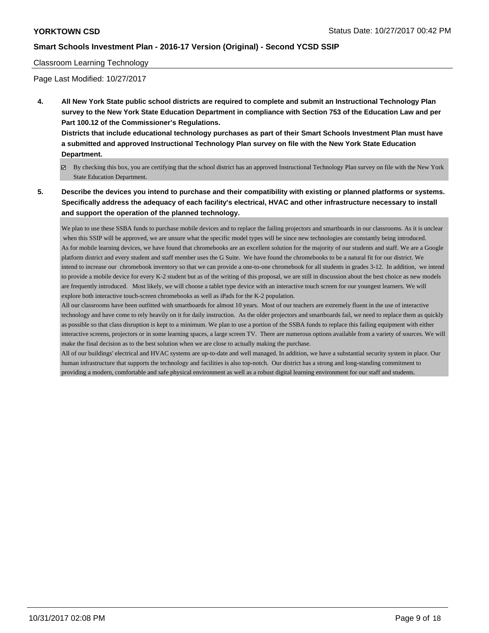### Classroom Learning Technology

Page Last Modified: 10/27/2017

**4. All New York State public school districts are required to complete and submit an Instructional Technology Plan survey to the New York State Education Department in compliance with Section 753 of the Education Law and per Part 100.12 of the Commissioner's Regulations.**

**Districts that include educational technology purchases as part of their Smart Schools Investment Plan must have a submitted and approved Instructional Technology Plan survey on file with the New York State Education Department.**

- By checking this box, you are certifying that the school district has an approved Instructional Technology Plan survey on file with the New York State Education Department.
- **5. Describe the devices you intend to purchase and their compatibility with existing or planned platforms or systems. Specifically address the adequacy of each facility's electrical, HVAC and other infrastructure necessary to install and support the operation of the planned technology.**

We plan to use these SSBA funds to purchase mobile devices and to replace the failing projectors and smartboards in our classrooms. As it is unclear when this SSIP will be approved, we are unsure what the specific model types will be since new technologies are constantly being introduced. As for mobile learning devices, we have found that chromebooks are an excellent solution for the majority of our students and staff. We are a Google platform district and every student and staff member uses the G Suite. We have found the chromebooks to be a natural fit for our district. We intend to increase our chromebook inventory so that we can provide a one-to-one chromebook for all students in grades 3-12. In addition, we intend to provide a mobile device for every K-2 student but as of the writing of this proposal, we are still in discussion about the best choice as new models are frequently introduced. Most likely, we will choose a tablet type device with an interactive touch screen for our youngest learners. We will explore both interactive touch-screen chromebooks as well as iPads for the K-2 population.

All our classrooms have been outfitted with smartboards for almost 10 years. Most of our teachers are extremely fluent in the use of interactive technology and have come to rely heavily on it for daily instruction. As the older projectors and smartboards fail, we need to replace them as quickly as possible so that class disruption is kept to a minimum. We plan to use a portion of the SSBA funds to replace this failing equipment with either interactive screens, projectors or in some learning spaces, a large screen TV. There are numerous options available from a variety of sources. We will make the final decision as to the best solution when we are close to actually making the purchase.

All of our buildings' electrical and HVAC systems are up-to-date and well managed. In addition, we have a substantial security system in place. Our human infrastructure that supports the technology and facilities is also top-notch. Our district has a strong and long-standing commitment to providing a modern, comfortable and safe physical environment as well as a robust digital learning environment for our staff and students.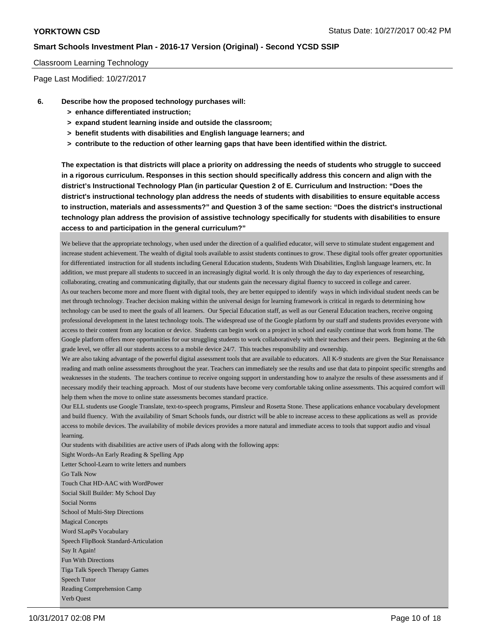### Classroom Learning Technology

Page Last Modified: 10/27/2017

- **6. Describe how the proposed technology purchases will:**
	- **> enhance differentiated instruction;**
	- **> expand student learning inside and outside the classroom;**
	- **> benefit students with disabilities and English language learners; and**
	- **> contribute to the reduction of other learning gaps that have been identified within the district.**

**The expectation is that districts will place a priority on addressing the needs of students who struggle to succeed in a rigorous curriculum. Responses in this section should specifically address this concern and align with the district's Instructional Technology Plan (in particular Question 2 of E. Curriculum and Instruction: "Does the district's instructional technology plan address the needs of students with disabilities to ensure equitable access to instruction, materials and assessments?" and Question 3 of the same section: "Does the district's instructional technology plan address the provision of assistive technology specifically for students with disabilities to ensure access to and participation in the general curriculum?"**

We believe that the appropriate technology, when used under the direction of a qualified educator, will serve to stimulate student engagement and increase student achievement. The wealth of digital tools available to assist students continues to grow. These digital tools offer greater opportunities for differentiated instruction for all students including General Education students, Students With Disabilities, English language learners, etc. In addition, we must prepare all students to succeed in an increasingly digital world. It is only through the day to day experiences of researching, collaborating, creating and communicating digitally, that our students gain the necessary digital fluency to succeed in college and career. As our teachers become more and more fluent with digital tools, they are better equipped to identify ways in which individual student needs can be met through technology. Teacher decision making within the universal design for learning framework is critical in regards to determining how technology can be used to meet the goals of all learners. Our Special Education staff, as well as our General Education teachers, receive ongoing professional development in the latest technology tools. The widespread use of the Google platform by our staff and students provides everyone with access to their content from any location or device. Students can begin work on a project in school and easily continue that work from home. The Google platform offers more opportunities for our struggling students to work collaboratively with their teachers and their peers. Beginning at the 6th grade level, we offer all our students access to a mobile device 24/7. This teaches responsibility and ownership.

We are also taking advantage of the powerful digital assessment tools that are available to educators. All K-9 students are given the Star Renaissance reading and math online assessments throughout the year. Teachers can immediately see the results and use that data to pinpoint specific strengths and weaknesses in the students. The teachers continue to receive ongoing support in understanding how to analyze the results of these assessments and if necessary modify their teaching approach. Most of our students have become very comfortable taking online assessments. This acquired comfort will help them when the move to online state assessments becomes standard practice.

Our ELL students use Google Translate, text-to-speech programs, Pimsleur and Rosetta Stone. These applications enhance vocabulary development and build fluency. With the availability of Smart Schools funds, our district will be able to increase access to these applications as well as provide access to mobile devices. The availability of mobile devices provides a more natural and immediate access to tools that support audio and visual learning.

Our students with disabilities are active users of iPads along with the following apps:

Sight Words-An Early Reading & Spelling App Letter School-Learn to write letters and numbers Go Talk Now Touch Chat HD-AAC with WordPower Social Skill Builder: My School Day Social Norms School of Multi-Step Directions Magical Concepts Word SLapPs Vocabulary Speech FlipBook Standard-Articulation Say It Again! Fun With Directions Tiga Talk Speech Therapy Games Speech Tutor Reading Comprehension Camp Verb Quest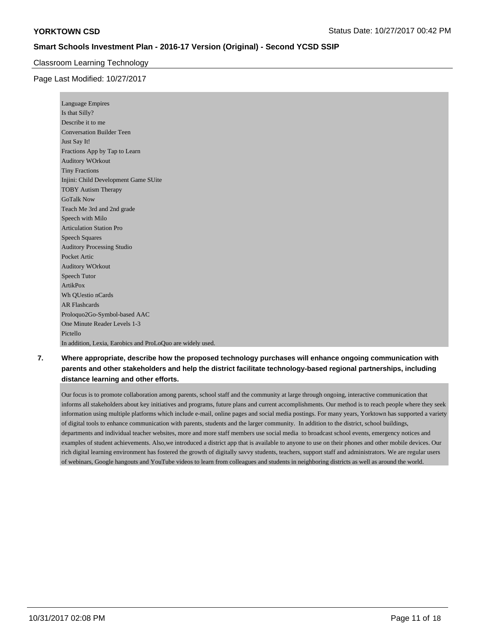### Classroom Learning Technology

### Page Last Modified: 10/27/2017

| <b>Language Empires</b>                                    |
|------------------------------------------------------------|
| Is that Silly?                                             |
| Describe it to me                                          |
| <b>Conversation Builder Teen</b>                           |
| Just Say It!                                               |
| Fractions App by Tap to Learn                              |
| <b>Auditory WOrkout</b>                                    |
| <b>Tiny Fractions</b>                                      |
| Injini: Child Development Game SUite                       |
| <b>TOBY Autism Therapy</b>                                 |
| <b>GoTalk Now</b>                                          |
| Teach Me 3rd and 2nd grade                                 |
| Speech with Milo                                           |
| <b>Articulation Station Pro</b>                            |
| <b>Speech Squares</b>                                      |
| <b>Auditory Processing Studio</b>                          |
| Pocket Artic                                               |
| <b>Auditory WOrkout</b>                                    |
| <b>Speech Tutor</b>                                        |
| ArtikPox                                                   |
| Wh QUestio nCards                                          |
| <b>AR Flashcards</b>                                       |
| Proloquo2Go-Symbol-based AAC                               |
| One Minute Reader Levels 1-3                               |
| Pictello                                                   |
| In addition, Lexia, Earobics and ProLoQuo are widely used. |

# **7. Where appropriate, describe how the proposed technology purchases will enhance ongoing communication with parents and other stakeholders and help the district facilitate technology-based regional partnerships, including distance learning and other efforts.**

Our focus is to promote collaboration among parents, school staff and the community at large through ongoing, interactive communication that informs all stakeholders about key initiatives and programs, future plans and current accomplishments. Our method is to reach people where they seek information using multiple platforms which include e-mail, online pages and social media postings. For many years, Yorktown has supported a variety of digital tools to enhance communication with parents, students and the larger community. In addition to the district, school buildings, departments and individual teacher websites, more and more staff members use social media to broadcast school events, emergency notices and examples of student achievements. Also,we introduced a district app that is available to anyone to use on their phones and other mobile devices. Our rich digital learning environment has fostered the growth of digitally savvy students, teachers, support staff and administrators. We are regular users of webinars, Google hangouts and YouTube videos to learn from colleagues and students in neighboring districts as well as around the world.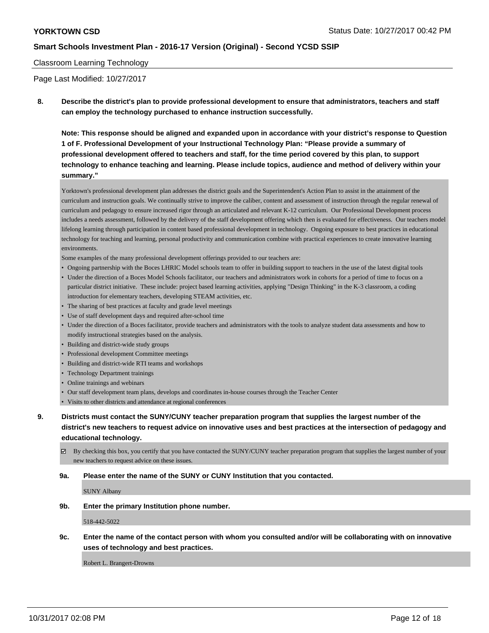### Classroom Learning Technology

Page Last Modified: 10/27/2017

**8. Describe the district's plan to provide professional development to ensure that administrators, teachers and staff can employ the technology purchased to enhance instruction successfully.**

**Note: This response should be aligned and expanded upon in accordance with your district's response to Question 1 of F. Professional Development of your Instructional Technology Plan: "Please provide a summary of professional development offered to teachers and staff, for the time period covered by this plan, to support technology to enhance teaching and learning. Please include topics, audience and method of delivery within your summary."**

Yorktown's professional development plan addresses the district goals and the Superintendent's Action Plan to assist in the attainment of the curriculum and instruction goals. We continually strive to improve the caliber, content and assessment of instruction through the regular renewal of curriculum and pedagogy to ensure increased rigor through an articulated and relevant K-12 curriculum. Our Professional Development process includes a needs assessment, followed by the delivery of the staff development offering which then is evaluated for effectiveness. Our teachers model lifelong learning through participation in content based professional development in technology. Ongoing exposure to best practices in educational technology for teaching and learning, personal productivity and communication combine with practical experiences to create innovative learning environments.

Some examples of the many professional development offerings provided to our teachers are:

- Ongoing partnership with the Boces LHRIC Model schools team to offer in building support to teachers in the use of the latest digital tools
- Under the direction of a Boces Model Schools facilitator, our teachers and administrators work in cohorts for a period of time to focus on a particular district initiative. These include: project based learning activities, applying "Design Thinking" in the K-3 classroom, a coding introduction for elementary teachers, developing STEAM activities, etc.
- The sharing of best practices at faculty and grade level meetings
- Use of staff development days and required after-school time
- Under the direction of a Boces facilitator, provide teachers and administrators with the tools to analyze student data assessments and how to modify instructional strategies based on the analysis.
- Building and district-wide study groups
- Professional development Committee meetings
- Building and district-wide RTI teams and workshops
- Technology Department trainings
- Online trainings and webinars
- Our staff development team plans, develops and coordinates in-house courses through the Teacher Center
- Visits to other districts and attendance at regional conferences
- **9. Districts must contact the SUNY/CUNY teacher preparation program that supplies the largest number of the district's new teachers to request advice on innovative uses and best practices at the intersection of pedagogy and educational technology.**
	- By checking this box, you certify that you have contacted the SUNY/CUNY teacher preparation program that supplies the largest number of your new teachers to request advice on these issues.
	- **9a. Please enter the name of the SUNY or CUNY Institution that you contacted.**

SUNY Albany

**9b. Enter the primary Institution phone number.**

518-442-5022

**9c. Enter the name of the contact person with whom you consulted and/or will be collaborating with on innovative uses of technology and best practices.**

Robert L. Brangert-Drowns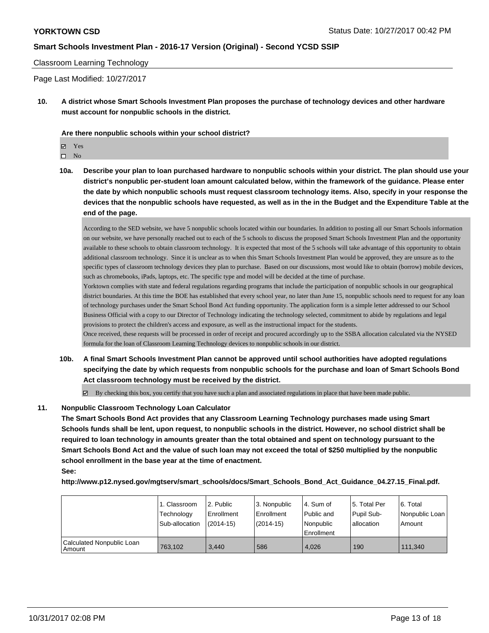#### Classroom Learning Technology

Page Last Modified: 10/27/2017

**10. A district whose Smart Schools Investment Plan proposes the purchase of technology devices and other hardware must account for nonpublic schools in the district.**

**Are there nonpublic schools within your school district?**

Yes

 $\hfill \square$  No

**10a. Describe your plan to loan purchased hardware to nonpublic schools within your district. The plan should use your district's nonpublic per-student loan amount calculated below, within the framework of the guidance. Please enter the date by which nonpublic schools must request classroom technology items. Also, specify in your response the devices that the nonpublic schools have requested, as well as in the in the Budget and the Expenditure Table at the end of the page.**

According to the SED website, we have 5 nonpublic schools located within our boundaries. In addition to posting all our Smart Schools information on our website, we have personally reached out to each of the 5 schools to discuss the proposed Smart Schools Investment Plan and the opportunity available to these schools to obtain classroom technology. It is expected that most of the 5 schools will take advantage of this opportunity to obtain additional classroom technology. Since it is unclear as to when this Smart Schools Investment Plan would be approved, they are unsure as to the specific types of classroom technology devices they plan to purchase. Based on our discussions, most would like to obtain (borrow) mobile devices, such as chromebooks, iPads, laptops, etc. The specific type and model will be decided at the time of purchase.

Yorktown complies with state and federal regulations regarding programs that include the participation of nonpublic schools in our geographical district boundaries. At this time the BOE has established that every school year, no later than June 15, nonpublic schools need to request for any loan of technology purchases under the Smart School Bond Act funding opportunity. The application form is a simple letter addressed to our School Business Official with a copy to our Director of Technology indicating the technology selected, commitment to abide by regulations and legal provisions to protect the children's access and exposure, as well as the instructional impact for the students.

Once received, these requests will be processed in order of receipt and procured accordingly up to the SSBA allocation calculated via the NYSED formula for the loan of Classroom Learning Technology devices to nonpublic schools in our district.

- **10b. A final Smart Schools Investment Plan cannot be approved until school authorities have adopted regulations specifying the date by which requests from nonpublic schools for the purchase and loan of Smart Schools Bond Act classroom technology must be received by the district.**
	- $\boxtimes$  By checking this box, you certify that you have such a plan and associated regulations in place that have been made public.

### **11. Nonpublic Classroom Technology Loan Calculator**

**The Smart Schools Bond Act provides that any Classroom Learning Technology purchases made using Smart Schools funds shall be lent, upon request, to nonpublic schools in the district. However, no school district shall be required to loan technology in amounts greater than the total obtained and spent on technology pursuant to the Smart Schools Bond Act and the value of such loan may not exceed the total of \$250 multiplied by the nonpublic school enrollment in the base year at the time of enactment. See:**

**http://www.p12.nysed.gov/mgtserv/smart\_schools/docs/Smart\_Schools\_Bond\_Act\_Guidance\_04.27.15\_Final.pdf.**

|                                       | 1. Classroom   | l 2. Public  | l 3. Nonpublic | l 4. Sum of | 15. Total Per | l 6. Total     |
|---------------------------------------|----------------|--------------|----------------|-------------|---------------|----------------|
|                                       | Technology     | l Enrollment | Enrollment     | Public and  | Pupil Sub-    | Nonpublic Loan |
|                                       | Sub-allocation | $(2014-15)$  | $(2014-15)$    | l Nonpublic | allocation    | Amount         |
|                                       |                |              |                | Enrollment  |               |                |
| Calculated Nonpublic Loan<br>l Amount | 763.102        | 3.440        | 586            | 4,026       | 190           | 111.340        |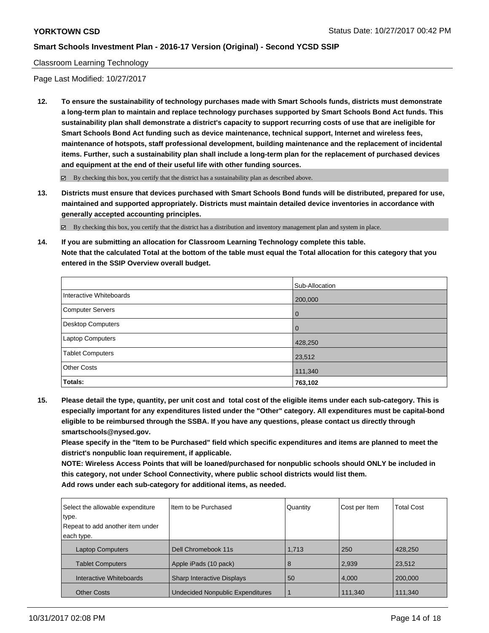Classroom Learning Technology

Page Last Modified: 10/27/2017

**12. To ensure the sustainability of technology purchases made with Smart Schools funds, districts must demonstrate a long-term plan to maintain and replace technology purchases supported by Smart Schools Bond Act funds. This sustainability plan shall demonstrate a district's capacity to support recurring costs of use that are ineligible for Smart Schools Bond Act funding such as device maintenance, technical support, Internet and wireless fees, maintenance of hotspots, staff professional development, building maintenance and the replacement of incidental items. Further, such a sustainability plan shall include a long-term plan for the replacement of purchased devices and equipment at the end of their useful life with other funding sources.**

 $\boxtimes$  By checking this box, you certify that the district has a sustainability plan as described above.

**13. Districts must ensure that devices purchased with Smart Schools Bond funds will be distributed, prepared for use, maintained and supported appropriately. Districts must maintain detailed device inventories in accordance with generally accepted accounting principles.**

By checking this box, you certify that the district has a distribution and inventory management plan and system in place.

**14. If you are submitting an allocation for Classroom Learning Technology complete this table. Note that the calculated Total at the bottom of the table must equal the Total allocation for this category that you entered in the SSIP Overview overall budget.**

|                         | Sub-Allocation |
|-------------------------|----------------|
| Interactive Whiteboards | 200,000        |
| Computer Servers        | l 0            |
| Desktop Computers       | l 0            |
| <b>Laptop Computers</b> | 428,250        |
| <b>Tablet Computers</b> | 23,512         |
| <b>Other Costs</b>      | 111,340        |
| Totals:                 | 763,102        |

**15. Please detail the type, quantity, per unit cost and total cost of the eligible items under each sub-category. This is especially important for any expenditures listed under the "Other" category. All expenditures must be capital-bond eligible to be reimbursed through the SSBA. If you have any questions, please contact us directly through smartschools@nysed.gov.**

**Please specify in the "Item to be Purchased" field which specific expenditures and items are planned to meet the district's nonpublic loan requirement, if applicable.**

**NOTE: Wireless Access Points that will be loaned/purchased for nonpublic schools should ONLY be included in this category, not under School Connectivity, where public school districts would list them. Add rows under each sub-category for additional items, as needed.**

| Select the allowable expenditure | Item to be Purchased                    | Quantity | Cost per Item | <b>Total Cost</b> |
|----------------------------------|-----------------------------------------|----------|---------------|-------------------|
| type.                            |                                         |          |               |                   |
| Repeat to add another item under |                                         |          |               |                   |
| each type.                       |                                         |          |               |                   |
| <b>Laptop Computers</b>          | Dell Chromebook 11s                     | 1,713    | 250           | 428,250           |
| <b>Tablet Computers</b>          | Apple iPads (10 pack)                   | 8        | 2,939         | 23,512            |
| Interactive Whiteboards          | <b>Sharp Interactive Displays</b>       | 50       | 4,000         | 200,000           |
| <b>Other Costs</b>               | <b>Undecided Nonpublic Expenditures</b> |          | 111,340       | 111,340           |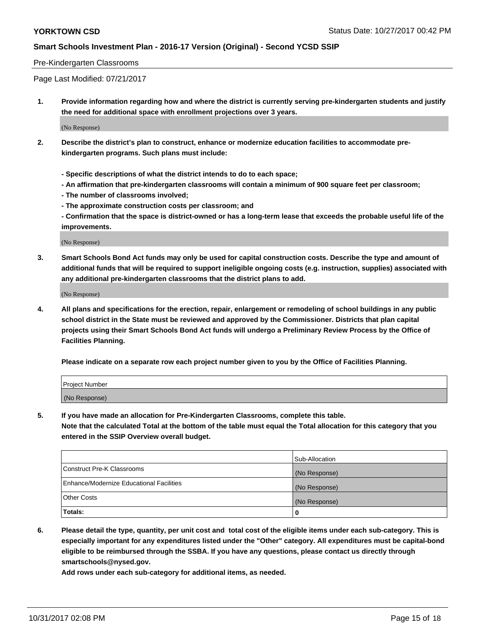#### Pre-Kindergarten Classrooms

Page Last Modified: 07/21/2017

**1. Provide information regarding how and where the district is currently serving pre-kindergarten students and justify the need for additional space with enrollment projections over 3 years.**

(No Response)

- **2. Describe the district's plan to construct, enhance or modernize education facilities to accommodate prekindergarten programs. Such plans must include:**
	- **Specific descriptions of what the district intends to do to each space;**
	- **An affirmation that pre-kindergarten classrooms will contain a minimum of 900 square feet per classroom;**
	- **The number of classrooms involved;**
	- **The approximate construction costs per classroom; and**
	- **Confirmation that the space is district-owned or has a long-term lease that exceeds the probable useful life of the improvements.**

(No Response)

**3. Smart Schools Bond Act funds may only be used for capital construction costs. Describe the type and amount of additional funds that will be required to support ineligible ongoing costs (e.g. instruction, supplies) associated with any additional pre-kindergarten classrooms that the district plans to add.**

(No Response)

**4. All plans and specifications for the erection, repair, enlargement or remodeling of school buildings in any public school district in the State must be reviewed and approved by the Commissioner. Districts that plan capital projects using their Smart Schools Bond Act funds will undergo a Preliminary Review Process by the Office of Facilities Planning.**

**Please indicate on a separate row each project number given to you by the Office of Facilities Planning.**

| Project Number |  |
|----------------|--|
| (No Response)  |  |

**5. If you have made an allocation for Pre-Kindergarten Classrooms, complete this table.**

**Note that the calculated Total at the bottom of the table must equal the Total allocation for this category that you entered in the SSIP Overview overall budget.**

|                                          | Sub-Allocation |
|------------------------------------------|----------------|
| Construct Pre-K Classrooms               | (No Response)  |
| Enhance/Modernize Educational Facilities | (No Response)  |
| <b>Other Costs</b>                       | (No Response)  |
| <b>Totals:</b>                           | 0              |

**6. Please detail the type, quantity, per unit cost and total cost of the eligible items under each sub-category. This is especially important for any expenditures listed under the "Other" category. All expenditures must be capital-bond eligible to be reimbursed through the SSBA. If you have any questions, please contact us directly through smartschools@nysed.gov.**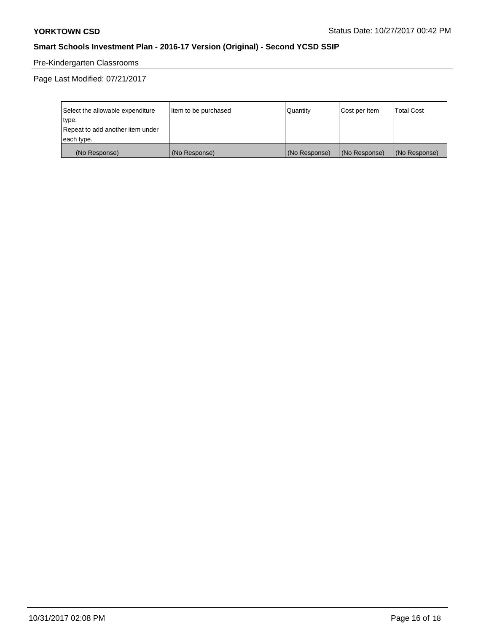# Pre-Kindergarten Classrooms

Page Last Modified: 07/21/2017

| Select the allowable expenditure | Item to be purchased | Quantity      | Cost per Item | <b>Total Cost</b> |
|----------------------------------|----------------------|---------------|---------------|-------------------|
| type.                            |                      |               |               |                   |
| Repeat to add another item under |                      |               |               |                   |
| each type.                       |                      |               |               |                   |
| (No Response)                    | (No Response)        | (No Response) | (No Response) | (No Response)     |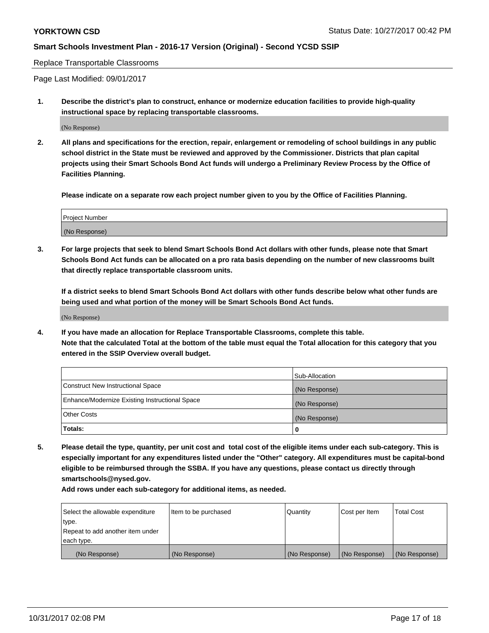Replace Transportable Classrooms

Page Last Modified: 09/01/2017

**1. Describe the district's plan to construct, enhance or modernize education facilities to provide high-quality instructional space by replacing transportable classrooms.**

(No Response)

**2. All plans and specifications for the erection, repair, enlargement or remodeling of school buildings in any public school district in the State must be reviewed and approved by the Commissioner. Districts that plan capital projects using their Smart Schools Bond Act funds will undergo a Preliminary Review Process by the Office of Facilities Planning.**

**Please indicate on a separate row each project number given to you by the Office of Facilities Planning.**

| <b>Project Number</b> |  |
|-----------------------|--|
| (No Response)         |  |

**3. For large projects that seek to blend Smart Schools Bond Act dollars with other funds, please note that Smart Schools Bond Act funds can be allocated on a pro rata basis depending on the number of new classrooms built that directly replace transportable classroom units.**

**If a district seeks to blend Smart Schools Bond Act dollars with other funds describe below what other funds are being used and what portion of the money will be Smart Schools Bond Act funds.**

(No Response)

**4. If you have made an allocation for Replace Transportable Classrooms, complete this table. Note that the calculated Total at the bottom of the table must equal the Total allocation for this category that you entered in the SSIP Overview overall budget.**

|                                                | Sub-Allocation |
|------------------------------------------------|----------------|
| Construct New Instructional Space              | (No Response)  |
| Enhance/Modernize Existing Instructional Space | (No Response)  |
| <b>Other Costs</b>                             | (No Response)  |
| Totals:                                        | 0              |

**5. Please detail the type, quantity, per unit cost and total cost of the eligible items under each sub-category. This is especially important for any expenditures listed under the "Other" category. All expenditures must be capital-bond eligible to be reimbursed through the SSBA. If you have any questions, please contact us directly through smartschools@nysed.gov.**

| Select the allowable expenditure<br>type.      | lltem to be purchased | Quantity      | Cost per Item | <b>Total Cost</b> |
|------------------------------------------------|-----------------------|---------------|---------------|-------------------|
| Repeat to add another item under<br>each type. |                       |               |               |                   |
| (No Response)                                  | (No Response)         | (No Response) | (No Response) | (No Response)     |